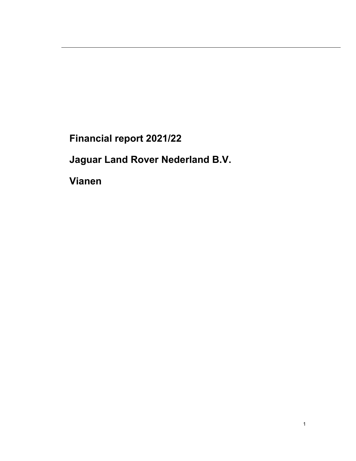**Financial report 2021/22** 

**Jaguar Land Rover Nederland B.V.** 

**Vianen**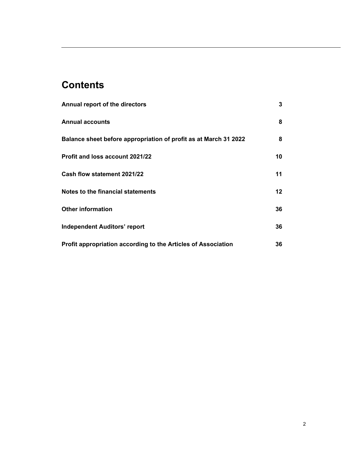# **Contents**

| Annual report of the directors                                   | 3  |
|------------------------------------------------------------------|----|
| <b>Annual accounts</b>                                           | 8  |
| Balance sheet before appropriation of profit as at March 31 2022 | 8  |
| Profit and loss account 2021/22                                  | 10 |
| Cash flow statement 2021/22                                      | 11 |
| Notes to the financial statements                                | 12 |
| <b>Other information</b>                                         | 36 |
| <b>Independent Auditors' report</b>                              | 36 |
| Profit appropriation according to the Articles of Association    | 36 |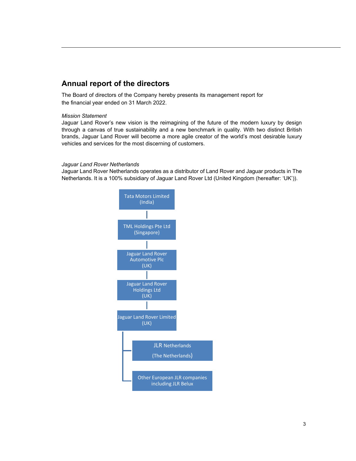# **Annual report of the directors**

The Board of directors of the Company hereby presents its management report for the financial year ended on 31 March 2022.

#### *Mission Statement*

Jaguar Land Rover's new vision is the reimagining of the future of the modern luxury by design through a canvas of true sustainability and a new benchmark in quality. With two distinct British brands, Jaguar Land Rover will become a more agile creator of the world's most desirable luxury vehicles and services for the most discerning of customers.

#### *Jaguar Land Rover Netherlands*

Jaguar Land Rover Netherlands operates as a distributor of Land Rover and Jaguar products in The Netherlands. It is a 100% subsidiary of Jaguar Land Rover Ltd (United Kingdom (hereafter: 'UK')).

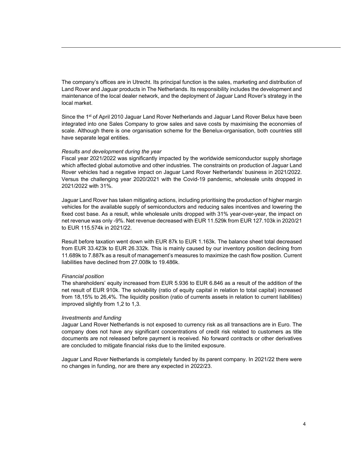The company's offices are in Utrecht. Its principal function is the sales, marketing and distribution of Land Rover and Jaguar products in The Netherlands. Its responsibility includes the development and maintenance of the local dealer network, and the deployment of Jaguar Land Rover's strategy in the local market.

Since the 1<sup>st</sup> of April 2010 Jaguar Land Rover Netherlands and Jaguar Land Rover Belux have been integrated into one Sales Company to grow sales and save costs by maximising the economies of scale. Although there is one organisation scheme for the Benelux-organisation, both countries still have separate legal entities.

#### *Results and development during the year*

Fiscal year 2021/2022 was significantly impacted by the worldwide semiconductor supply shortage which affected global automotive and other industries. The constraints on production of Jaguar Land Rover vehicles had a negative impact on Jaguar Land Rover Netherlands' business in 2021/2022. Versus the challenging year 2020/2021 with the Covid-19 pandemic, wholesale units dropped in 2021/2022 with 31%.

Jaguar Land Rover has taken mitigating actions, including prioritising the production of higher margin vehicles for the available supply of semiconductors and reducing sales incentives and lowering the fixed cost base. As a result, while wholesale units dropped with 31% year-over-year, the impact on net revenue was only -9%. Net revenue decreased with EUR 11.529k from EUR 127.103k in 2020/21 to EUR 115.574k in 2021/22.

Result before taxation went down with EUR 87k to EUR 1.163k. The balance sheet total decreased from EUR 33.423k to EUR 26.332k. This is mainly caused by our inventory position declining from 11.689k to 7.887k as a result of management's measures to maximize the cash flow position. Current liabilities have declined from 27.008k to 19.486k.

#### *Financial position*

The shareholders' equity increased from EUR 5.936 to EUR 6.846 as a result of the addition of the net result of EUR 910k. The solvability (ratio of equity capital in relation to total capital) increased from 18,15% to 26,4%. The liquidity position (ratio of currents assets in relation to current liabilities) improved slightly from 1,2 to 1,3.

#### *Investments and funding*

Jaguar Land Rover Netherlands is not exposed to currency risk as all transactions are in Euro. The company does not have any significant concentrations of credit risk related to customers as title documents are not released before payment is received. No forward contracts or other derivatives are concluded to mitigate financial risks due to the limited exposure.

Jaguar Land Rover Netherlands is completely funded by its parent company. In 2021/22 there were no changes in funding, nor are there any expected in 2022/23.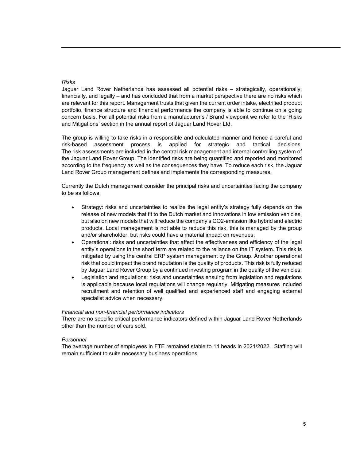#### *Risks*

Jaguar Land Rover Netherlands has assessed all potential risks – strategically, operationally, financially, and legally – and has concluded that from a market perspective there are no risks which are relevant for this report. Management trusts that given the current order intake, electrified product portfolio, finance structure and financial performance the company is able to continue on a going concern basis. For all potential risks from a manufacturer's / Brand viewpoint we refer to the 'Risks and Mitigations' section in the annual report of Jaguar Land Rover Ltd.

The group is willing to take risks in a responsible and calculated manner and hence a careful and risk-based assessment process is applied for strategic and tactical decisions. The risk assessments are included in the central risk management and internal controlling system of the Jaguar Land Rover Group. The identified risks are being quantified and reported and monitored according to the frequency as well as the consequences they have. To reduce each risk, the Jaguar Land Rover Group management defines and implements the corresponding measures.

Currently the Dutch management consider the principal risks and uncertainties facing the company to be as follows:

- Strategy: risks and uncertainties to realize the legal entity's strategy fully depends on the release of new models that fit to the Dutch market and innovations in low emission vehicles, but also on new models that will reduce the company's CO2-emission like hybrid and electric products. Local management is not able to reduce this risk, this is managed by the group and/or shareholder, but risks could have a material impact on revenues;
- Operational: risks and uncertainties that affect the effectiveness and efficiency of the legal entity's operations in the short term are related to the reliance on the IT system. This risk is mitigated by using the central ERP system management by the Group. Another operational risk that could impact the brand reputation is the quality of products. This risk is fully reduced by Jaguar Land Rover Group by a continued investing program in the quality of the vehicles;
- Legislation and regulations: risks and uncertainties ensuing from legislation and regulations is applicable because local regulations will change regularly. Mitigating measures included recruitment and retention of well qualified and experienced staff and engaging external specialist advice when necessary.

#### *Financial and non-financial performance indicators*

There are no specific critical performance indicators defined within Jaguar Land Rover Netherlands other than the number of cars sold.

#### *Personnel*

The average number of employees in FTE remained stable to 14 heads in 2021/2022. Staffing will remain sufficient to suite necessary business operations.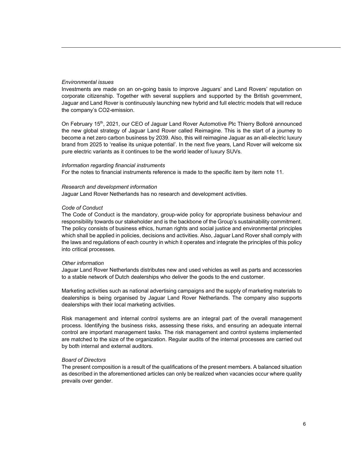#### *Environmental issues*

Investments are made on an on-going basis to improve Jaguars' and Land Rovers' reputation on corporate citizenship. Together with several suppliers and supported by the British government, Jaguar and Land Rover is continuously launching new hybrid and full electric models that will reduce the company's CO2-emission.

On February 15<sup>th</sup>, 2021, our CEO of Jaguar Land Rover Automotive Plc Thierry Bolloré announced the new global strategy of Jaguar Land Rover called Reimagine. This is the start of a journey to become a net zero carbon business by 2039. Also, this will reimagine Jaguar as an all-electric luxury brand from 2025 to 'realise its unique potential'. In the next five years, Land Rover will welcome six pure electric variants as it continues to be the world leader of luxury SUVs.

#### *Information regarding financial instruments*

For the notes to financial instruments reference is made to the specific item by item note 11.

#### *Research and development information*

Jaguar Land Rover Netherlands has no research and development activities.

#### *Code of Conduct*

The Code of Conduct is the mandatory, group-wide policy for appropriate business behaviour and responsibility towards our stakeholder and is the backbone of the Group's sustainability commitment. The policy consists of business ethics, human rights and social justice and environmental principles which shall be applied in policies, decisions and activities. Also, Jaguar Land Rover shall comply with the laws and regulations of each country in which it operates and integrate the principles of this policy into critical processes.

#### *Other information*

Jaguar Land Rover Netherlands distributes new and used vehicles as well as parts and accessories to a stable network of Dutch dealerships who deliver the goods to the end customer.

Marketing activities such as national advertising campaigns and the supply of marketing materials to dealerships is being organised by Jaguar Land Rover Netherlands. The company also supports dealerships with their local marketing activities.

Risk management and internal control systems are an integral part of the overall management process. Identifying the business risks, assessing these risks, and ensuring an adequate internal control are important management tasks. The risk management and control systems implemented are matched to the size of the organization. Regular audits of the internal processes are carried out by both internal and external auditors.

#### *Board of Directors*

The present composition is a result of the qualifications of the present members. A balanced situation as described in the aforementioned articles can only be realized when vacancies occur where quality prevails over gender.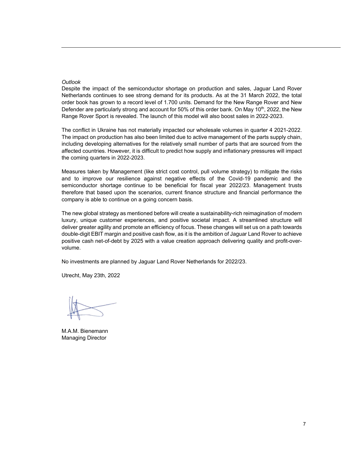#### *Outlook*

Despite the impact of the semiconductor shortage on production and sales, Jaguar Land Rover Netherlands continues to see strong demand for its products. As at the 31 March 2022, the total order book has grown to a record level of 1.700 units. Demand for the New Range Rover and New Defender are particularly strong and account for 50% of this order bank. On May 10<sup>th</sup>, 2022, the New Range Rover Sport is revealed. The launch of this model will also boost sales in 2022-2023.

The conflict in Ukraine has not materially impacted our wholesale volumes in quarter 4 2021-2022. The impact on production has also been limited due to active management of the parts supply chain, including developing alternatives for the relatively small number of parts that are sourced from the affected countries. However, it is difficult to predict how supply and inflationary pressures will impact the coming quarters in 2022-2023.

Measures taken by Management (like strict cost control, pull volume strategy) to mitigate the risks and to improve our resilience against negative effects of the Covid-19 pandemic and the semiconductor shortage continue to be beneficial for fiscal year 2022/23. Management trusts therefore that based upon the scenarios, current finance structure and financial performance the company is able to continue on a going concern basis.

The new global strategy as mentioned before will create a sustainability-rich reimagination of modern luxury, unique customer experiences, and positive societal impact. A streamlined structure will deliver greater agility and promote an efficiency of focus. These changes will set us on a path towards double-digit EBIT margin and positive cash flow, as it is the ambition of Jaguar Land Rover to achieve positive cash net-of-debt by 2025 with a value creation approach delivering quality and profit-overvolume.

No investments are planned by Jaguar Land Rover Netherlands for 2022/23.

Utrecht, May 23th, 2022

M.A.M. Bienemann Managing Director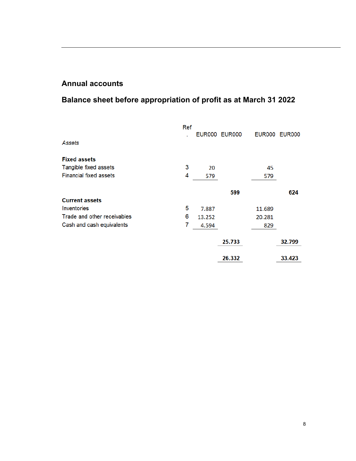# **Annual accounts**

# **Balance sheet before appropriation of profit as at March 31 2022**

|                               | Ref |        | EUR000 EUR000 |        | EUR000 EUR000 |
|-------------------------------|-----|--------|---------------|--------|---------------|
| Assets                        |     |        |               |        |               |
| <b>Fixed assets</b>           |     |        |               |        |               |
| Tangible fixed assets         | 3   | 20     |               | 45     |               |
| <b>Financial fixed assets</b> | 4   | 579    |               | 579    |               |
|                               |     |        | 599           |        | 624           |
| <b>Current assets</b>         |     |        |               |        |               |
| Inventories                   | 5   | 7.887  |               | 11.689 |               |
| Trade and other receivables   | 6   | 13.252 |               | 20.281 |               |
| Cash and cash equivalents     | 7   | 4.594  |               | 829    |               |
|                               |     |        | 25.733        |        | 32.799        |
|                               |     |        | 26.332        |        | 33.423        |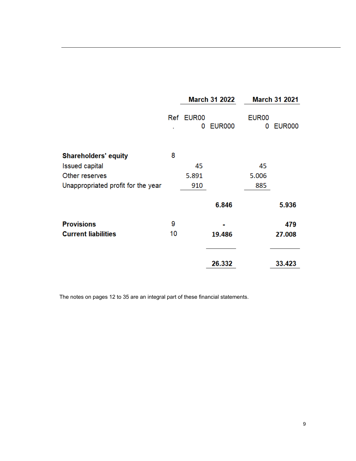|                                    |    |           | <b>March 31 2022</b> |                   | <b>March 31 2021</b> |
|------------------------------------|----|-----------|----------------------|-------------------|----------------------|
|                                    |    | Ref EUR00 | 0 EUR000             | <b>EUR00</b><br>0 | <b>EUR000</b>        |
| <b>Shareholders' equity</b>        | 8  |           |                      |                   |                      |
| <b>Issued capital</b>              |    | 45        |                      | 45                |                      |
| Other reserves                     |    | 5.891     |                      | 5.006             |                      |
| Unappropriated profit for the year |    | 910       |                      | 885               |                      |
|                                    |    |           | 6.846                |                   | 5.936                |
| <b>Provisions</b>                  | 9  |           |                      |                   | 479                  |
| <b>Current liabilities</b>         | 10 |           | 19.486               |                   | 27.008               |
|                                    |    |           |                      |                   |                      |
|                                    |    |           | 26.332               |                   | 33.423               |

The notes on pages 12 to 35 are an integral part of these financial statements.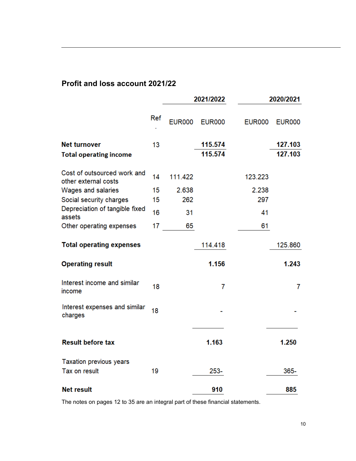# **Profit and loss account 2021/22**

|                                                     |     |               | 2021/2022     |               | 2020/2021     |
|-----------------------------------------------------|-----|---------------|---------------|---------------|---------------|
|                                                     | Ref | <b>EUR000</b> | <b>EUR000</b> | <b>EUR000</b> | <b>EUR000</b> |
| <b>Net turnover</b>                                 | 13  |               | 115.574       |               | 127.103       |
| <b>Total operating income</b>                       |     |               | 115.574       |               | 127.103       |
| Cost of outsourced work and<br>other external costs | 14  | 111.422       |               | 123.223       |               |
| Wages and salaries                                  | 15  | 2.638         |               | 2.238         |               |
| Social security charges                             | 15  | 262           |               | 297           |               |
| Depreciation of tangible fixed<br>assets            | 16  | 31            |               | 41            |               |
| Other operating expenses                            | 17  | 65            |               | 61            |               |
| <b>Total operating expenses</b>                     |     |               | 114.418       |               | 125.860       |
| <b>Operating result</b>                             |     |               | 1.156         |               | 1.243         |
| Interest income and similar<br>income               | 18  |               | 7             |               | 7             |
| Interest expenses and similar<br>charges            | 18  |               |               |               |               |
| <b>Result before tax</b>                            |     |               | 1.163         |               | 1.250         |
| <b>Taxation previous years</b>                      |     |               |               |               |               |
| Tax on result                                       | 19  |               | $253 -$       |               | $365 -$       |
| <b>Net result</b>                                   |     |               | 910           |               | 885           |

The notes on pages 12 to 35 are an integral part of these financial statements.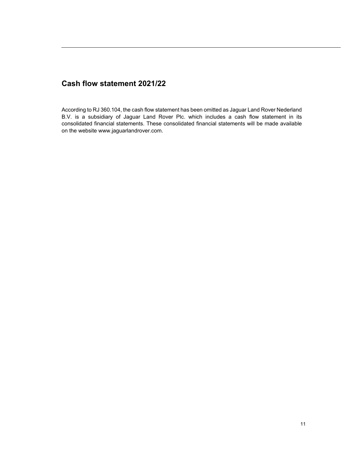# **Cash flow statement 2021/22**

According to RJ 360.104, the cash flow statement has been omitted as Jaguar Land Rover Nederland B.V. is a subsidiary of Jaguar Land Rover Plc. which includes a cash flow statement in its consolidated financial statements. These consolidated financial statements will be made available on the website www.jaguarlandrover.com.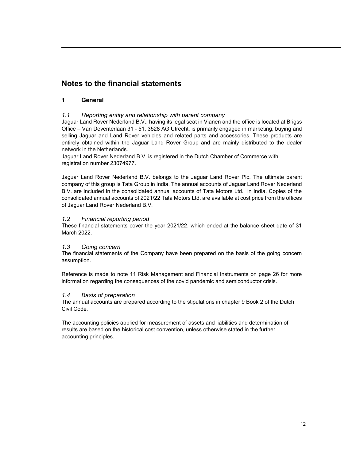# **Notes to the financial statements**

# **1 General**

# *1.1 Reporting entity and relationship with parent company*

Jaguar Land Rover Nederland B.V., having its legal seat in Vianen and the office is located at Brigss Office – Van Deventerlaan 31 - 51, 3528 AG Utrecht, is primarily engaged in marketing, buying and selling Jaguar and Land Rover vehicles and related parts and accessories. These products are entirely obtained within the Jaguar Land Rover Group and are mainly distributed to the dealer network in the Netherlands.

Jaguar Land Rover Nederland B.V. is registered in the Dutch Chamber of Commerce with registration number 23074977.

Jaguar Land Rover Nederland B.V. belongs to the Jaguar Land Rover Plc. The ultimate parent company of this group is Tata Group in India. The annual accounts of Jaguar Land Rover Nederland B.V. are included in the consolidated annual accounts of Tata Motors Ltd. in India. Copies of the consolidated annual accounts of 2021/22 Tata Motors Ltd. are available at cost price from the offices of Jaguar Land Rover Nederland B.V.

# *1.2 Financial reporting period*

These financial statements cover the year 2021/22, which ended at the balance sheet date of 31 March 2022.

# *1.3 Going concern*

The financial statements of the Company have been prepared on the basis of the going concern assumption.

Reference is made to note 11 Risk Management and Financial Instruments on page 26 for more information regarding the consequences of the covid pandemic and semiconductor crisis.

#### *1.4 Basis of preparation*

The annual accounts are prepared according to the stipulations in chapter 9 Book 2 of the Dutch Civil Code.

The accounting policies applied for measurement of assets and liabilities and determination of results are based on the historical cost convention, unless otherwise stated in the further accounting principles.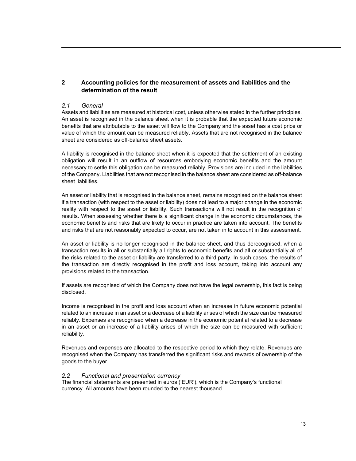# **2 Accounting policies for the measurement of assets and liabilities and the determination of the result**

#### *2.1 General*

Assets and liabilities are measured at historical cost, unless otherwise stated in the further principles. An asset is recognised in the balance sheet when it is probable that the expected future economic benefits that are attributable to the asset will flow to the Company and the asset has a cost price or value of which the amount can be measured reliably. Assets that are not recognised in the balance sheet are considered as off-balance sheet assets.

A liability is recognised in the balance sheet when it is expected that the settlement of an existing obligation will result in an outflow of resources embodying economic benefits and the amount necessary to settle this obligation can be measured reliably. Provisions are included in the liabilities of the Company. Liabilities that are not recognised in the balance sheet are considered as off-balance sheet liabilities.

An asset or liability that is recognised in the balance sheet, remains recognised on the balance sheet if a transaction (with respect to the asset or liability) does not lead to a major change in the economic reality with respect to the asset or liability. Such transactions will not result in the recognition of results. When assessing whether there is a significant change in the economic circumstances, the economic benefits and risks that are likely to occur in practice are taken into account. The benefits and risks that are not reasonably expected to occur, are not taken in to account in this assessment.

An asset or liability is no longer recognised in the balance sheet, and thus derecognised, when a transaction results in all or substantially all rights to economic benefits and all or substantially all of the risks related to the asset or liability are transferred to a third party. In such cases, the results of the transaction are directly recognised in the profit and loss account, taking into account any provisions related to the transaction.

If assets are recognised of which the Company does not have the legal ownership, this fact is being disclosed.

Income is recognised in the profit and loss account when an increase in future economic potential related to an increase in an asset or a decrease of a liability arises of which the size can be measured reliably. Expenses are recognised when a decrease in the economic potential related to a decrease in an asset or an increase of a liability arises of which the size can be measured with sufficient reliability.

Revenues and expenses are allocated to the respective period to which they relate. Revenues are recognised when the Company has transferred the significant risks and rewards of ownership of the goods to the buyer.

#### *2.2 Functional and presentation currency*

The financial statements are presented in euros ('EUR'), which is the Company's functional currency. All amounts have been rounded to the nearest thousand.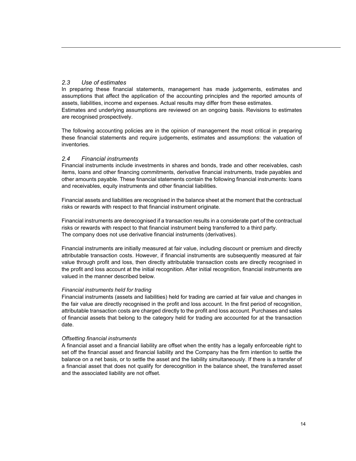## *2.3 Use of estimates*

In preparing these financial statements, management has made judgements, estimates and assumptions that affect the application of the accounting principles and the reported amounts of assets, liabilities, income and expenses. Actual results may differ from these estimates. Estimates and underlying assumptions are reviewed on an ongoing basis. Revisions to estimates are recognised prospectively.

The following accounting policies are in the opinion of management the most critical in preparing these financial statements and require judgements, estimates and assumptions: the valuation of inventories.

## *2.4 Financial instruments*

Financial instruments include investments in shares and bonds, trade and other receivables, cash items, loans and other financing commitments, derivative financial instruments, trade payables and other amounts payable. These financial statements contain the following financial instruments: loans and receivables, equity instruments and other financial liabilities.

Financial assets and liabilities are recognised in the balance sheet at the moment that the contractual risks or rewards with respect to that financial instrument originate.

Financial instruments are derecognised if a transaction results in a considerate part of the contractual risks or rewards with respect to that financial instrument being transferred to a third party. The company does not use derivative financial instruments (derivatives).

Financial instruments are initially measured at fair value, including discount or premium and directly attributable transaction costs. However, if financial instruments are subsequently measured at fair value through profit and loss, then directly attributable transaction costs are directly recognised in the profit and loss account at the initial recognition. After initial recognition, financial instruments are valued in the manner described below.

#### *Financial instruments held for trading*

Financial instruments (assets and liabilities) held for trading are carried at fair value and changes in the fair value are directly recognised in the profit and loss account. In the first period of recognition, attributable transaction costs are charged directly to the profit and loss account. Purchases and sales of financial assets that belong to the category held for trading are accounted for at the transaction date.

#### *Offsetting financial instruments*

A financial asset and a financial liability are offset when the entity has a legally enforceable right to set off the financial asset and financial liability and the Company has the firm intention to settle the balance on a net basis, or to settle the asset and the liability simultaneously. If there is a transfer of a financial asset that does not qualify for derecognition in the balance sheet, the transferred asset and the associated liability are not offset.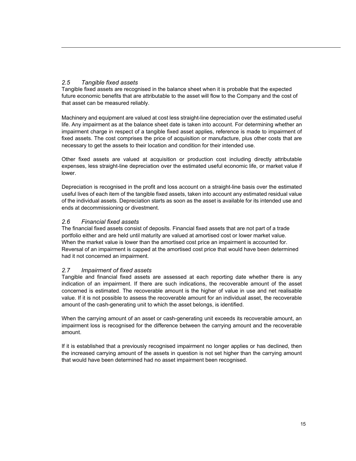# *2.5 Tangible fixed assets*

Tangible fixed assets are recognised in the balance sheet when it is probable that the expected future economic benefits that are attributable to the asset will flow to the Company and the cost of that asset can be measured reliably.

Machinery and equipment are valued at cost less straight-line depreciation over the estimated useful life. Any impairment as at the balance sheet date is taken into account. For determining whether an impairment charge in respect of a tangible fixed asset applies, reference is made to impairment of fixed assets. The cost comprises the price of acquisition or manufacture, plus other costs that are necessary to get the assets to their location and condition for their intended use.

Other fixed assets are valued at acquisition or production cost including directly attributable expenses, less straight-line depreciation over the estimated useful economic life, or market value if lower.

Depreciation is recognised in the profit and loss account on a straight-line basis over the estimated useful lives of each item of the tangible fixed assets, taken into account any estimated residual value of the individual assets. Depreciation starts as soon as the asset is available for its intended use and ends at decommissioning or divestment.

#### *2.6 Financial fixed assets*

The financial fixed assets consist of deposits. Financial fixed assets that are not part of a trade portfolio either and are held until maturity are valued at amortised cost or lower market value. When the market value is lower than the amortised cost price an impairment is accounted for. Reversal of an impairment is capped at the amortised cost price that would have been determined had it not concerned an impairment.

# *2.7 Impairment of fixed assets*

Tangible and financial fixed assets are assessed at each reporting date whether there is any indication of an impairment. If there are such indications, the recoverable amount of the asset concerned is estimated. The recoverable amount is the higher of value in use and net realisable value. If it is not possible to assess the recoverable amount for an individual asset, the recoverable amount of the cash-generating unit to which the asset belongs, is identified.

When the carrying amount of an asset or cash-generating unit exceeds its recoverable amount, an impairment loss is recognised for the difference between the carrying amount and the recoverable amount.

If it is established that a previously recognised impairment no longer applies or has declined, then the increased carrying amount of the assets in question is not set higher than the carrying amount that would have been determined had no asset impairment been recognised.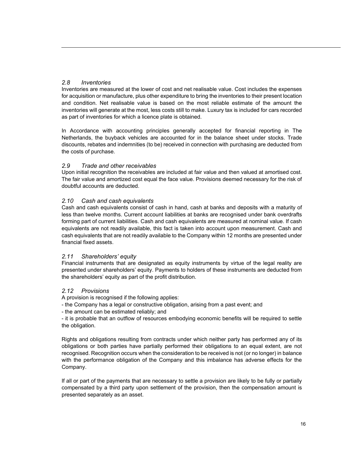## *2.8 Inventories*

Inventories are measured at the lower of cost and net realisable value. Cost includes the expenses for acquisition or manufacture, plus other expenditure to bring the inventories to their present location and condition. Net realisable value is based on the most reliable estimate of the amount the inventories will generate at the most, less costs still to make. Luxury tax is included for cars recorded as part of inventories for which a licence plate is obtained.

In Accordance with accounting principles generally accepted for financial reporting in The Netherlands, the buyback vehicles are accounted for in the balance sheet under stocks. Trade discounts, rebates and indemnities (to be) received in connection with purchasing are deducted from the costs of purchase.

## *2.9 Trade and other receivables*

Upon initial recognition the receivables are included at fair value and then valued at amortised cost. The fair value and amortized cost equal the face value. Provisions deemed necessary for the risk of doubtful accounts are deducted.

## *2.10 Cash and cash equivalents*

Cash and cash equivalents consist of cash in hand, cash at banks and deposits with a maturity of less than twelve months. Current account liabilities at banks are recognised under bank overdrafts forming part of current liabilities. Cash and cash equivalents are measured at nominal value. If cash equivalents are not readily available, this fact is taken into account upon measurement. Cash and cash equivalents that are not readily available to the Company within 12 months are presented under financial fixed assets.

#### *2.11 Shareholders' equity*

Financial instruments that are designated as equity instruments by virtue of the legal reality are presented under shareholders' equity. Payments to holders of these instruments are deducted from the shareholders' equity as part of the profit distribution.

#### *2.12 Provisions*

A provision is recognised if the following applies:

- the Company has a legal or constructive obligation, arising from a past event; and

- the amount can be estimated reliably; and

- it is probable that an outflow of resources embodying economic benefits will be required to settle the obligation.

Rights and obligations resulting from contracts under which neither party has performed any of its obligations or both parties have partially performed their obligations to an equal extent, are not recognised. Recognition occurs when the consideration to be received is not (or no longer) in balance with the performance obligation of the Company and this imbalance has adverse effects for the Company.

If all or part of the payments that are necessary to settle a provision are likely to be fully or partially compensated by a third party upon settlement of the provision, then the compensation amount is presented separately as an asset.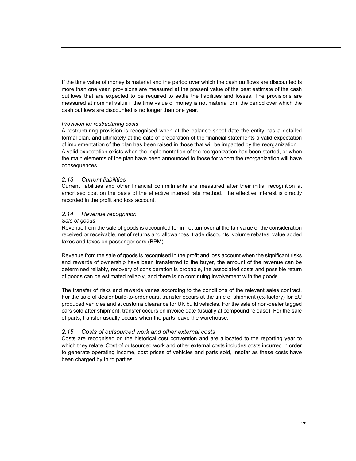If the time value of money is material and the period over which the cash outflows are discounted is more than one year, provisions are measured at the present value of the best estimate of the cash outflows that are expected to be required to settle the liabilities and losses. The provisions are measured at nominal value if the time value of money is not material or if the period over which the cash outflows are discounted is no longer than one year.

#### *Provision for restructuring costs*

A restructuring provision is recognised when at the balance sheet date the entity has a detailed formal plan, and ultimately at the date of preparation of the financial statements a valid expectation of implementation of the plan has been raised in those that will be impacted by the reorganization. A valid expectation exists when the implementation of the reorganization has been started, or when the main elements of the plan have been announced to those for whom the reorganization will have consequences.

#### *2.13 Current liabilities*

Current liabilities and other financial commitments are measured after their initial recognition at amortised cost on the basis of the effective interest rate method. The effective interest is directly recorded in the profit and loss account.

#### *2.14 Revenue recognition*

#### *Sale of goods*

Revenue from the sale of goods is accounted for in net turnover at the fair value of the consideration received or receivable, net of returns and allowances, trade discounts, volume rebates, value added taxes and taxes on passenger cars (BPM).

Revenue from the sale of goods is recognised in the profit and loss account when the significant risks and rewards of ownership have been transferred to the buyer, the amount of the revenue can be determined reliably, recovery of consideration is probable, the associated costs and possible return of goods can be estimated reliably, and there is no continuing involvement with the goods.

The transfer of risks and rewards varies according to the conditions of the relevant sales contract. For the sale of dealer build-to-order cars, transfer occurs at the time of shipment (ex-factory) for EU produced vehicles and at customs clearance for UK build vehicles. For the sale of non-dealer tagged cars sold after shipment, transfer occurs on invoice date (usually at compound release). For the sale of parts, transfer usually occurs when the parts leave the warehouse.

#### *2.15 Costs of outsourced work and other external costs*

Costs are recognised on the historical cost convention and are allocated to the reporting year to which they relate. Cost of outsourced work and other external costs includes costs incurred in order to generate operating income, cost prices of vehicles and parts sold, insofar as these costs have been charged by third parties.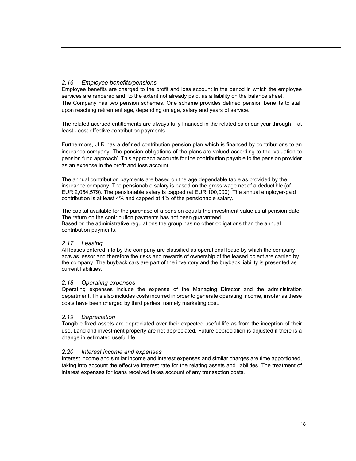## *2.16 Employee benefits/pensions*

Employee benefits are charged to the profit and loss account in the period in which the employee services are rendered and, to the extent not already paid, as a liability on the balance sheet. The Company has two pension schemes. One scheme provides defined pension benefits to staff upon reaching retirement age, depending on age, salary and years of service.

The related accrued entitlements are always fully financed in the related calendar year through – at least - cost effective contribution payments.

Furthermore, JLR has a defined contribution pension plan which is financed by contributions to an insurance company. The pension obligations of the plans are valued according to the 'valuation to pension fund approach'. This approach accounts for the contribution payable to the pension provider as an expense in the profit and loss account.

The annual contribution payments are based on the age dependable table as provided by the insurance company. The pensionable salary is based on the gross wage net of a deductible (of EUR 2,054,579). The pensionable salary is capped (at EUR 100,000). The annual employer-paid contribution is at least 4% and capped at 4% of the pensionable salary.

The capital available for the purchase of a pension equals the investment value as at pension date. The return on the contribution payments has not been guaranteed. Based on the administrative regulations the group has no other obligations than the annual contribution payments.

#### *2.17 Leasing*

All leases entered into by the company are classified as operational lease by which the company acts as lessor and therefore the risks and rewards of ownership of the leased object are carried by the company. The buyback cars are part of the inventory and the buyback liability is presented as current liabilities.

#### *2.18 Operating expenses*

Operating expenses include the expense of the Managing Director and the administration department. This also includes costs incurred in order to generate operating income, insofar as these costs have been charged by third parties, namely marketing cost.

#### *2.19 Depreciation*

Tangible fixed assets are depreciated over their expected useful life as from the inception of their use. Land and investment property are not depreciated. Future depreciation is adjusted if there is a change in estimated useful life.

#### *2.20 Interest income and expenses*

Interest income and similar income and interest expenses and similar charges are time apportioned, taking into account the effective interest rate for the relating assets and liabilities. The treatment of interest expenses for loans received takes account of any transaction costs.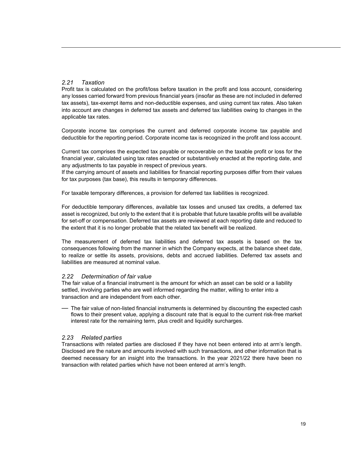## *2.21 Taxation*

Profit tax is calculated on the profit/loss before taxation in the profit and loss account, considering any losses carried forward from previous financial years (insofar as these are not included in deferred tax assets), tax-exempt items and non-deductible expenses, and using current tax rates. Also taken into account are changes in deferred tax assets and deferred tax liabilities owing to changes in the applicable tax rates.

Corporate income tax comprises the current and deferred corporate income tax payable and deductible for the reporting period. Corporate income tax is recognized in the profit and loss account.

Current tax comprises the expected tax payable or recoverable on the taxable profit or loss for the financial year, calculated using tax rates enacted or substantively enacted at the reporting date, and any adjustments to tax payable in respect of previous years.

If the carrying amount of assets and liabilities for financial reporting purposes differ from their values for tax purposes (tax base), this results in temporary differences.

For taxable temporary differences, a provision for deferred tax liabilities is recognized.

For deductible temporary differences, available tax losses and unused tax credits, a deferred tax asset is recognized, but only to the extent that it is probable that future taxable profits will be available for set-off or compensation. Deferred tax assets are reviewed at each reporting date and reduced to the extent that it is no longer probable that the related tax benefit will be realized.

The measurement of deferred tax liabilities and deferred tax assets is based on the tax consequences following from the manner in which the Company expects, at the balance sheet date, to realize or settle its assets, provisions, debts and accrued liabilities. Deferred tax assets and liabilities are measured at nominal value.

#### *2.22 Determination of fair value*

The fair value of a financial instrument is the amount for which an asset can be sold or a liability settled, involving parties who are well informed regarding the matter, willing to enter into a transaction and are independent from each other.

— The fair value of non-listed financial instruments is determined by discounting the expected cash flows to their present value, applying a discount rate that is equal to the current risk-free market interest rate for the remaining term, plus credit and liquidity surcharges.

#### *2.23 Related parties*

Transactions with related parties are disclosed if they have not been entered into at arm's length. Disclosed are the nature and amounts involved with such transactions, and other information that is deemed necessary for an insight into the transactions. In the year 2021/22 there have been no transaction with related parties which have not been entered at arm's length.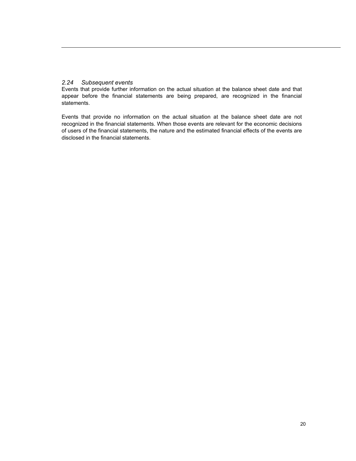## *2.24 Subsequent events*

Events that provide further information on the actual situation at the balance sheet date and that appear before the financial statements are being prepared, are recognized in the financial statements.

Events that provide no information on the actual situation at the balance sheet date are not recognized in the financial statements. When those events are relevant for the economic decisions of users of the financial statements, the nature and the estimated financial effects of the events are disclosed in the financial statements.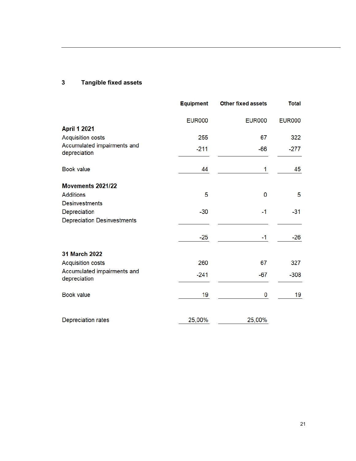# **3 Tangible fixed assets**

|                                             | <b>Equipment</b> | <b>Other fixed assets</b> | <b>Total</b>  |
|---------------------------------------------|------------------|---------------------------|---------------|
|                                             | <b>EUR000</b>    | <b>EUR000</b>             | <b>EUR000</b> |
| <b>April 1 2021</b>                         |                  |                           |               |
| <b>Acquisition costs</b>                    | 255              | 67                        | 322           |
| Accumulated impairments and<br>depreciation | $-211$           | $-66$                     | -277          |
| <b>Book value</b>                           | 44               | 1                         | 45            |
| Movements 2021/22                           |                  |                           |               |
| <b>Additions</b>                            | 5                | 0                         | 5             |
| <b>Desinvestments</b>                       |                  |                           |               |
| Depreciation                                | $-30$            | $-1$                      | $-31$         |
| <b>Depreciation Desinvestments</b>          |                  |                           |               |
|                                             | $-25$            | -1                        | $-26$         |
| <b>31 March 2022</b>                        |                  |                           |               |
| <b>Acquisition costs</b>                    | 260              | 67                        | 327           |
| Accumulated impairments and<br>depreciation | $-241$           | $-67$                     | $-308$        |
| <b>Book value</b>                           | 19               | 0                         | 19            |
| <b>Depreciation rates</b>                   | 25,00%           | 25,00%                    |               |
|                                             |                  |                           |               |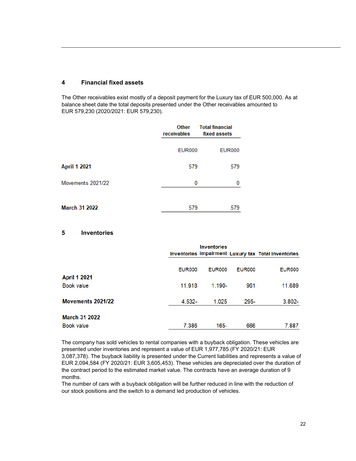#### **4 Financial fixed assets**

The Other receivables exist mostly of a deposit payment for the Luxury tax of EUR 500,000. As at balance sheet date the total deposits presented under the Other receivables amounted to EUR 579,230 (2020/2021: EUR 579,230).

|                      | <b>Other</b><br>receivables | <b>Total financial</b><br>fixed assets |
|----------------------|-----------------------------|----------------------------------------|
|                      | <b>EUR000</b>               | <b>EUR000</b>                          |
| <b>April 1 2021</b>  | 579                         | 579                                    |
| Movements 2021/22    | 0                           | 0                                      |
| <b>March 31 2022</b> | 579                         | 579                                    |

## **5 Inventories**

|                      |               | <b>Inventories</b> |               | Inventories impairment Luxury tax Total inventories |
|----------------------|---------------|--------------------|---------------|-----------------------------------------------------|
|                      | <b>EUR000</b> | <b>EUR000</b>      | <b>EUR000</b> | <b>EUR000</b>                                       |
| <b>April 1 2021</b>  |               |                    |               |                                                     |
| <b>Book value</b>    | 11.918        | $1.190 -$          | 961           | 11.689                                              |
| Movements 2021/22    | $4.532 -$     | 1.025              | 295-          | $3.802 -$                                           |
| <b>March 31 2022</b> |               |                    |               |                                                     |
| <b>Book value</b>    | 7.386         | $165 -$            | 666           | 7.887                                               |

The company has sold vehicles to rental companies with a buyback obligation. These vehicles are presented under inventories and represent a value of EUR 1,977,785 (FY 2020/21: EUR 3,087,378). The buyback liability is presented under the Current liabilities and represents a value of EUR 2,094,584 (FY 2020/21: EUR 3,605,453). These vehicles are depreciated over the duration of the contract period to the estimated market value. The contracts have an average duration of 9 months.

The number of cars with a buyback obligation will be further reduced in line with the reduction of our stock positions and the switch to a demand led production of vehicles.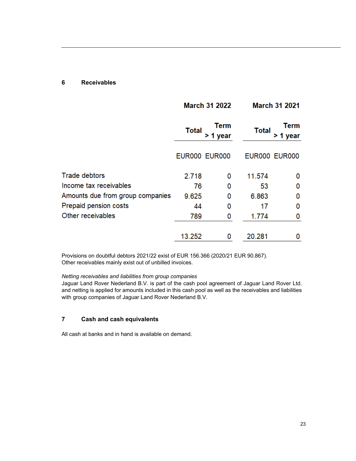## **6 Receivables**

|                                  |               | <b>March 31 2022</b>  |              | <b>March 31 2021</b>  |
|----------------------------------|---------------|-----------------------|--------------|-----------------------|
|                                  | <b>Total</b>  | <b>Term</b><br>1 year | <b>Total</b> | <b>Term</b><br>1 year |
|                                  | EUR000 EUR000 |                       |              | EUR000 EUR000         |
| <b>Trade debtors</b>             | 2.718         | 0                     | 11.574       | 0                     |
| Income tax receivables           | 76            | 0                     | 53           | 0                     |
| Amounts due from group companies | 9.625         | 0                     | 6.863        | 0                     |
| Prepaid pension costs            | 44            | 0                     | 17           | 0                     |
| Other receivables                | 789           | 0                     | 1.774        | 0                     |
|                                  | 13.252        | 0                     | 20.281       | 0                     |

Provisions on doubtful debtors 2021/22 exist of EUR 156.366 (2020/21 EUR 90.867). Other receivables mainly exist out of unbilled invoices.

#### *Netting receivables and liabilities from group companies*

Jaguar Land Rover Nederland B.V. is part of the cash pool agreement of Jaguar Land Rover Ltd. and netting is applied for amounts included in this cash pool as well as the receivables and liabilities with group companies of Jaguar Land Rover Nederland B.V.

# **7 Cash and cash equivalents**

All cash at banks and in hand is available on demand.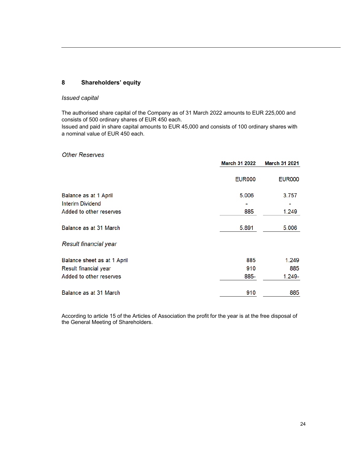# **8 Shareholders' equity**

#### *Issued capital*

The authorised share capital of the Company as of 31 March 2022 amounts to EUR 225,000 and consists of 500 ordinary shares of EUR 450 each.

Issued and paid in share capital amounts to EUR 45,000 and consists of 100 ordinary shares with a nominal value of EUR 450 each.

#### **Other Reserves**

|                             | <b>March 31 2022</b> | <b>March 31 2021</b> |
|-----------------------------|----------------------|----------------------|
|                             | <b>EUR000</b>        | <b>EUR000</b>        |
| Balance as at 1 April       | 5.006                | 3.757                |
| <b>Interim Dividend</b>     |                      |                      |
| Added to other reserves     | 885                  | 1.249                |
| Balance as at 31 March      | 5.891                | 5.006                |
| Result financial year       |                      |                      |
| Balance sheet as at 1 April | 885                  | 1.249                |
| Result financial year       | 910                  | 885                  |
| Added to other reserves     | 885-                 | 1.249-               |
| Balance as at 31 March      | 910                  | 885                  |

According to article 15 of the Articles of Association the profit for the year is at the free disposal of the General Meeting of Shareholders.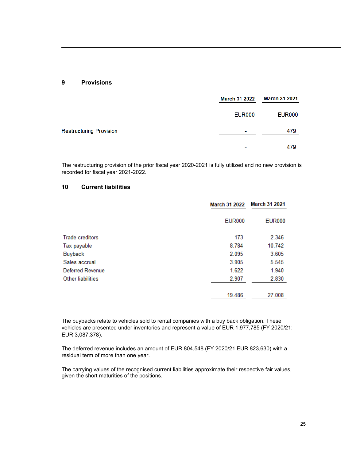#### **9 Provisions**

|                                | <b>March 31 2022</b> | <b>March 31 2021</b> |
|--------------------------------|----------------------|----------------------|
|                                | <b>EUR000</b>        | <b>EUR000</b>        |
| <b>Restructuring Provision</b> |                      | 479                  |
|                                |                      | 479                  |

The restructuring provision of the prior fiscal year 2020-2021 is fully utilized and no new provision is recorded for fiscal year 2021-2022.

# **10 Current liabilities**

|                        | <b>March 31 2022</b> | <b>March 31 2021</b> |  |
|------------------------|----------------------|----------------------|--|
|                        | <b>EUR000</b>        | <b>EUR000</b>        |  |
| <b>Trade creditors</b> | 173                  | 2.346                |  |
| Tax payable            | 8.784                | 10.742               |  |
| Buyback                | 2.095                | 3.605                |  |
| Sales accrual          | 3.905                | 5.545                |  |
| Deferred Revenue       | 1.622                | 1.940                |  |
| Other liabilities      | 2.907                | 2.830                |  |
|                        | 19.486               | 27.008               |  |

The buybacks relate to vehicles sold to rental companies with a buy back obligation. These vehicles are presented under inventories and represent a value of EUR 1,977,785 (FY 2020/21: EUR 3,087,378).

The deferred revenue includes an amount of EUR 804,548 (FY 2020/21 EUR 823,630) with a residual term of more than one year.

The carrying values of the recognised current liabilities approximate their respective fair values, given the short maturities of the positions.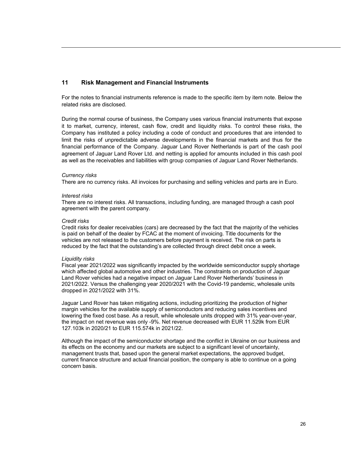#### **11 Risk Management and Financial Instruments**

For the notes to financial instruments reference is made to the specific item by item note. Below the related risks are disclosed.

During the normal course of business, the Company uses various financial instruments that expose it to market, currency, interest, cash flow, credit and liquidity risks. To control these risks, the Company has instituted a policy including a code of conduct and procedures that are intended to limit the risks of unpredictable adverse developments in the financial markets and thus for the financial performance of the Company. Jaguar Land Rover Netherlands is part of the cash pool agreement of Jaguar Land Rover Ltd. and netting is applied for amounts included in this cash pool as well as the receivables and liabilities with group companies of Jaguar Land Rover Netherlands.

#### *Currency risks*

There are no currency risks. All invoices for purchasing and selling vehicles and parts are in Euro.

#### *Interest risks*

There are no interest risks. All transactions, including funding, are managed through a cash pool agreement with the parent company.

#### *Credit risks*

Credit risks for dealer receivables (cars) are decreased by the fact that the majority of the vehicles is paid on behalf of the dealer by FCAC at the moment of invoicing. Title documents for the vehicles are not released to the customers before payment is received. The risk on parts is reduced by the fact that the outstanding's are collected through direct debit once a week.

#### *Liquidity risks*

Fiscal year 2021/2022 was significantly impacted by the worldwide semiconductor supply shortage which affected global automotive and other industries. The constraints on production of Jaguar Land Rover vehicles had a negative impact on Jaguar Land Rover Netherlands' business in 2021/2022. Versus the challenging year 2020/2021 with the Covid-19 pandemic, wholesale units dropped in 2021/2022 with 31%.

Jaguar Land Rover has taken mitigating actions, including prioritizing the production of higher margin vehicles for the available supply of semiconductors and reducing sales incentives and lowering the fixed cost base. As a result, while wholesale units dropped with 31% year-over-year, the impact on net revenue was only -9%. Net revenue decreased with EUR 11.529k from EUR 127.103k in 2020/21 to EUR 115.574k in 2021/22.

Although the impact of the semiconductor shortage and the conflict in Ukraine on our business and its effects on the economy and our markets are subject to a significant level of uncertainty, management trusts that, based upon the general market expectations, the approved budget, current finance structure and actual financial position, the company is able to continue on a going concern basis.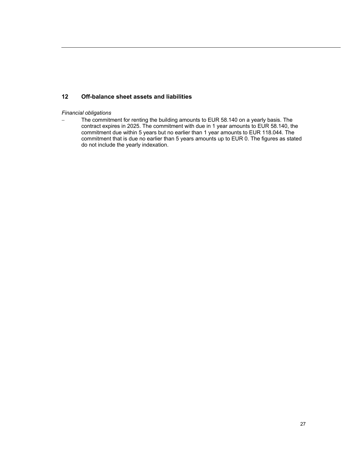# **12 Off-balance sheet assets and liabilities**

#### *Financial obligations*

 The commitment for renting the building amounts to EUR 58.140 on a yearly basis. The contract expires in 2025. The commitment with due in 1 year amounts to EUR 58.140, the commitment due within 5 years but no earlier than 1 year amounts to EUR 118.044. The commitment that is due no earlier than 5 years amounts up to EUR 0. The figures as stated do not include the yearly indexation.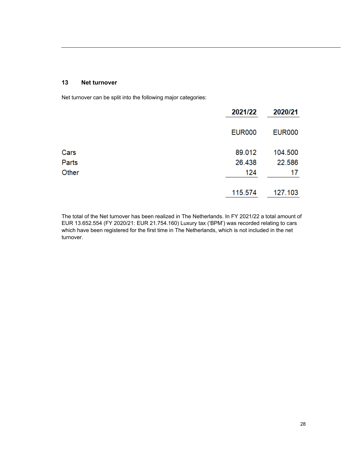# **13 Net turnover**

Net turnover can be split into the following major categories:

|       | 2021/22       | 2020/21       |
|-------|---------------|---------------|
|       | <b>EUR000</b> | <b>EUR000</b> |
| Cars  | 89.012        | 104.500       |
| Parts | 26.438        | 22.586        |
| Other | 124           | 17            |
|       | 115.574       | 127.103       |

The total of the Net turnover has been realized in The Netherlands. In FY 2021/22 a total amount of EUR 13.652.554 (FY 2020/21: EUR 21.754.160) Luxury tax ('BPM') was recorded relating to cars which have been registered for the first time in The Netherlands, which is not included in the net turnover.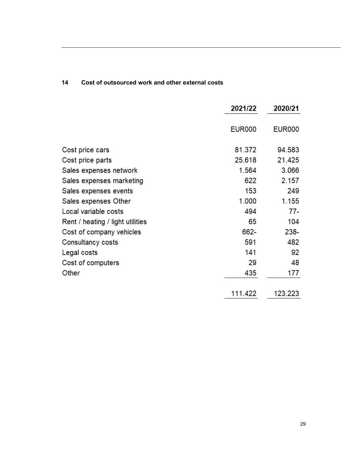# **14 Cost of outsourced work and other external costs**

|                                  | 2021/22       | 2020/21       |
|----------------------------------|---------------|---------------|
|                                  | <b>EUR000</b> | <b>EUR000</b> |
| Cost price cars                  | 81.372        | 94.583        |
| Cost price parts                 | 25.618        | 21.425        |
| Sales expenses network           | 1.564         | 3.066         |
| Sales expenses marketing         | 622           | 2.157         |
| Sales expenses events            | 153           | 249           |
| Sales expenses Other             | 1.000         | 1.155         |
| Local variable costs             | 494           | $77-$         |
| Rent / heating / light utilities | 65            | 104           |
| Cost of company vehicles         | 662-          | 238-          |
| Consultancy costs                | 591           | 482           |
| Legal costs                      | 141           | 92            |
| Cost of computers                | 29            | 48            |
| Other                            | 435           | 177           |
|                                  | 111.422       | 123.223       |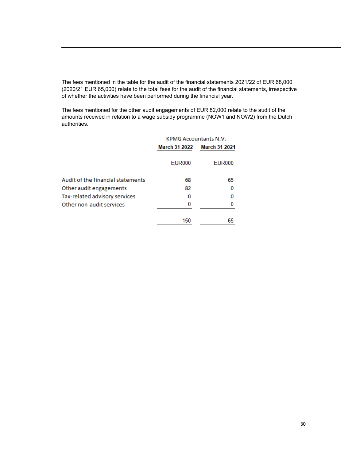The fees mentioned in the table for the audit of the financial statements 2021/22 of EUR 68,000 (2020/21 EUR 65,000) relate to the total fees for the audit of the financial statements, irrespective of whether the activities have been performed during the financial year.

The fees mentioned for the other audit engagements of EUR 82,000 relate to the audit of the amounts received in relation to a wage subsidy programme (NOW1 and NOW2) from the Dutch authorities.

|                                   | <b>KPMG Accountants N.V.</b> |                      |
|-----------------------------------|------------------------------|----------------------|
|                                   | <b>March 31 2022</b>         | <b>March 31 2021</b> |
|                                   | <b>EUR000</b>                | <b>EUR000</b>        |
| Audit of the financial statements | 68                           | 65                   |
| Other audit engagements           | 82                           | 0                    |
| Tax-related advisory services     | 0                            | o                    |
| Other non-audit services          | 0                            |                      |
|                                   | 150                          | 65                   |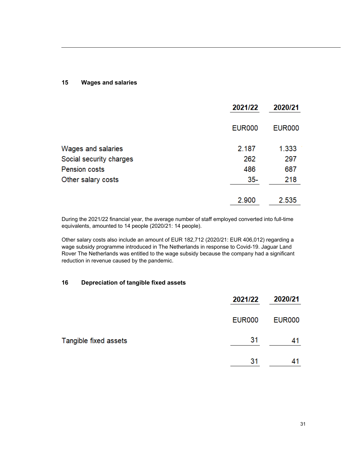## **15 Wages and salaries**

|                         | 2021/22       | 2020/21       |
|-------------------------|---------------|---------------|
|                         | <b>EUR000</b> | <b>EUR000</b> |
| Wages and salaries      | 2.187         | 1.333         |
| Social security charges | 262           | 297           |
| <b>Pension costs</b>    | 486           | 687           |
| Other salary costs      | $35 -$        | 218           |
|                         | 2.900         | 2.535         |

During the 2021/22 financial year, the average number of staff employed converted into full-time equivalents, amounted to 14 people (2020/21: 14 people).

Other salary costs also include an amount of EUR 182,712 (2020/21: EUR 406,012) regarding a wage subsidy programme introduced in The Netherlands in response to Covid-19. Jaguar Land Rover The Netherlands was entitled to the wage subsidy because the company had a significant reduction in revenue caused by the pandemic.

# **16 Depreciation of tangible fixed assets**

|                       | 2021/22       | 2020/21       |
|-----------------------|---------------|---------------|
|                       | <b>EUR000</b> | <b>EUR000</b> |
| Tangible fixed assets | 31            | 41            |
|                       | 31            |               |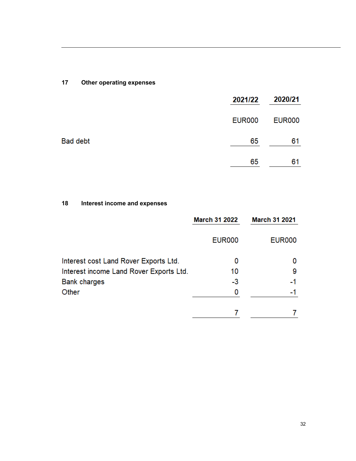# **17 Other operating expenses**

|                 | 2021/22       | 2020/21       |
|-----------------|---------------|---------------|
|                 | <b>EUR000</b> | <b>EUR000</b> |
| <b>Bad debt</b> | 65            | 61            |
|                 | 65            | 61            |

# **18 Interest income and expenses**

|                                         | <b>March 31 2022</b> | <b>March 31 2021</b> |
|-----------------------------------------|----------------------|----------------------|
|                                         | <b>EUR000</b>        | <b>EUR000</b>        |
| Interest cost Land Rover Exports Ltd.   | 0                    |                      |
| Interest income Land Rover Exports Ltd. | 10                   | 9                    |
| <b>Bank charges</b>                     | $-3$                 | -1                   |
| Other                                   | 0                    | -1                   |
|                                         |                      |                      |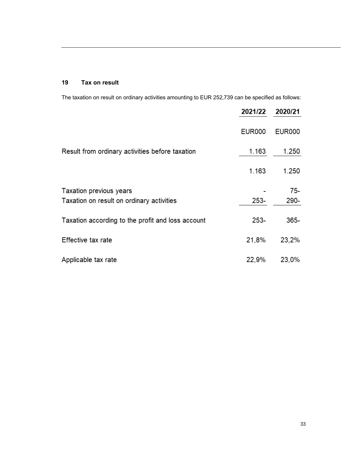# **19 Tax on result**

The taxation on result on ordinary activities amounting to EUR 252,739 can be specified as follows:

|                                                   | 2021/22       | 2020/21       |
|---------------------------------------------------|---------------|---------------|
|                                                   | <b>EUR000</b> | <b>EUR000</b> |
| Result from ordinary activities before taxation   | 1.163         | 1.250         |
|                                                   | 1.163         | 1.250         |
| Taxation previous years                           |               | 75-           |
| Taxation on result on ordinary activities         | $253 -$       | 290-          |
| Taxation according to the profit and loss account | $253 -$       | 365-          |
| <b>Effective tax rate</b>                         | 21,8%         | 23,2%         |
| Applicable tax rate                               | 22,9%         | 23,0%         |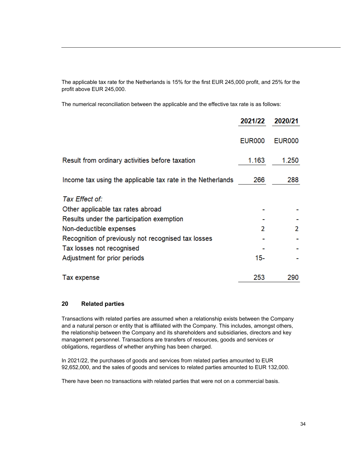The applicable tax rate for the Netherlands is 15% for the first EUR 245,000 profit, and 25% for the profit above EUR 245,000.

The numerical reconciliation between the applicable and the effective tax rate is as follows:

|                                                             | 2021/22       | 2020/21       |
|-------------------------------------------------------------|---------------|---------------|
|                                                             | <b>EUR000</b> | <b>EUR000</b> |
| Result from ordinary activities before taxation             | 1.163         | 1.250         |
| Income tax using the applicable tax rate in the Netherlands | 266           | 288           |
| Tax Effect of:                                              |               |               |
| Other applicable tax rates abroad                           |               |               |
| Results under the participation exemption                   |               |               |
| Non-deductible expenses                                     | 2             | $\mathcal{P}$ |
| Recognition of previously not recognised tax losses         |               |               |
| Tax losses not recognised                                   |               |               |
| Adjustment for prior periods                                | $15 -$        |               |
| Tax expense                                                 | 253           | 290           |

## **20 Related parties**

Transactions with related parties are assumed when a relationship exists between the Company and a natural person or entity that is affiliated with the Company. This includes, amongst others, the relationship between the Company and its shareholders and subsidiaries, directors and key management personnel. Transactions are transfers of resources, goods and services or obligations, regardless of whether anything has been charged.

In 2021/22, the purchases of goods and services from related parties amounted to EUR 92,652,000, and the sales of goods and services to related parties amounted to EUR 132,000.

There have been no transactions with related parties that were not on a commercial basis.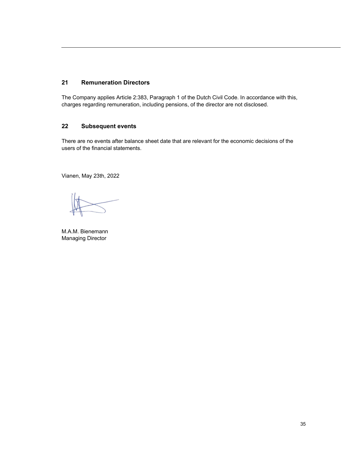# **21 Remuneration Directors**

The Company applies Article 2:383, Paragraph 1 of the Dutch Civil Code. In accordance with this, charges regarding remuneration, including pensions, of the director are not disclosed.

# **22 Subsequent events**

There are no events after balance sheet date that are relevant for the economic decisions of the users of the financial statements.

Vianen, May 23th, 2022

M.A.M. Bienemann Managing Director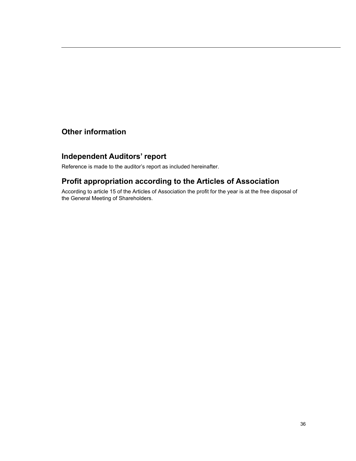# **Other information**

# **Independent Auditors' report**

Reference is made to the auditor's report as included hereinafter.

# **Profit appropriation according to the Articles of Association**

According to article 15 of the Articles of Association the profit for the year is at the free disposal of the General Meeting of Shareholders.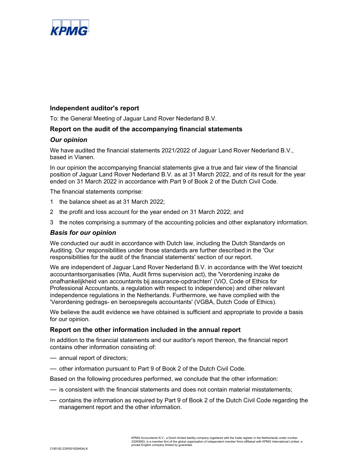

# Independent auditor's report

To: the General Meeting of Jaguar Land Rover Nederland B.V.

# Report on the audit of the accompanying financial statements

# Our opinion

We have audited the financial statements 2021/2022 of Jaguar Land Rover Nederland B.V., based in Vianen.

In our opinion the accompanying financial statements give a true and fair view of the financial position of Jaguar Land Rover Nederland B.V. as at 31 March 2022, and of its result for the year ended on 31 March 2022 in accordance with Part 9 of Book 2 of the Dutch Civil Code.

The financial statements comprise:

- 1 the balance sheet as at 31 March 2022;
- 2 the profit and loss account for the year ended on 31 March 2022; and
- 3 the notes comprising a summary of the accounting policies and other explanatory information.

## Basis for our opinion

We conducted our audit in accordance with Dutch law, including the Dutch Standards on Auditing. Our responsibilities under those standards are further described in the 'Our responsibilities for the audit of the financial statements' section of our report.

We are independent of Jaguar Land Rover Nederland B.V. in accordance with the Wet toezicht accountantsorganisaties (Wta, Audit firms supervision act), the 'Verordening inzake de onafhankelijkheid van accountants bij assurance-opdrachten' (ViO, Code of Ethics for Professional Accountants, a regulation with respect to independence) and other relevant independence regulations in the Netherlands. Furthermore, we have complied with the 'Verordening gedrags- en beroepsregels accountants' (VGBA, Dutch Code of Ethics).

We believe the audit evidence we have obtained is sufficient and appropriate to provide a basis for our opinion.

#### Report on the other information included in the annual report

In addition to the financial statements and our auditor's report thereon, the financial report contains other information consisting of:<br> — annual report of directors;<br> — other information pursuant to Part 9 of Book 2 of the Dutch Civil Code.

- 
- 

- Based on the following procedures performed, we conclude that the other information:<br>— is consistent with the financial statements and does not contain material misstatements;<br>— contains the information as required by Part
- management report and the other information.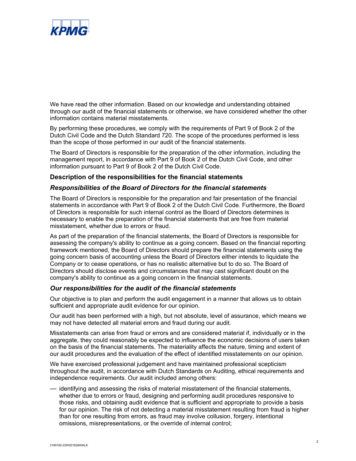

We have read the other information. Based on our knowledge and understanding obtained through our audit of the financial statements or otherwise, we have considered whether the other information contains material misstatements.

By performing these procedures, we comply with the requirements of Part 9 of Book 2 of the Dutch Civil Code and the Dutch Standard 720. The scope of the procedures performed is less than the scope of those performed in our audit of the financial statements.

The Board of Directors is responsible for the preparation of the other information, including the management report, in accordance with Part 9 of Book 2 of the Dutch Civil Code, and other information pursuant to Part 9 of Book 2 of the Dutch Civil Code.

# Description of the responsibilities for the financial statements

## Responsibilities of the Board of Directors for the financial statements

The Board of Directors is responsible for the preparation and fair presentation of the financial statements in accordance with Part 9 of Book 2 of the Dutch Civil Code. Furthermore, the Board of Directors is responsible for such internal control as the Board of Directors determines is necessary to enable the preparation of the financial statements that are free from material misstatement, whether due to errors or fraud.

As part of the preparation of the financial statements, the Board of Directors is responsible for assessing the company's ability to continue as a going concern. Based on the financial reporting framework mentioned, the Board of Directors should prepare the financial statements using the going concern basis of accounting unless the Board of Directors either intends to liquidate the Company or to cease operations, or has no realistic alternative but to do so. The Board of Directors should disclose events and circumstances that may cast significant doubt on the company's ability to continue as a going concern in the financial statements.

#### Our responsibilities for the audit of the financial statements

Our objective is to plan and perform the audit engagement in a manner that allows us to obtain sufficient and appropriate audit evidence for our opinion.

Our audit has been performed with a high, but not absolute, level of assurance, which means we may not have detected all material errors and fraud during our audit.

Misstatements can arise from fraud or errors and are considered material if, individually or in the aggregate, they could reasonably be expected to influence the economic decisions of users taken on the basis of the financial statements. The materiality affects the nature, timing and extent of our audit procedures and the evaluation of the effect of identified misstatements on our opinion.

We have exercised professional judgement and have maintained professional scepticism throughout the audit, in accordance with Dutch Standards on Auditing, ethical requirements and independence requirements. Our audit included among others:<br>— identifying and assessing the risks of material misstatement of the financial statements,

whether due to errors or fraud, designing and performing audit procedures responsive to those risks, and obtaining audit evidence that is sufficient and appropriate to provide a basis for our opinion. The risk of not detecting a material misstatement resulting from fraud is higher than for one resulting from errors, as fraud may involve collusion, forgery, intentional omissions, misrepresentations, or the override of internal control;